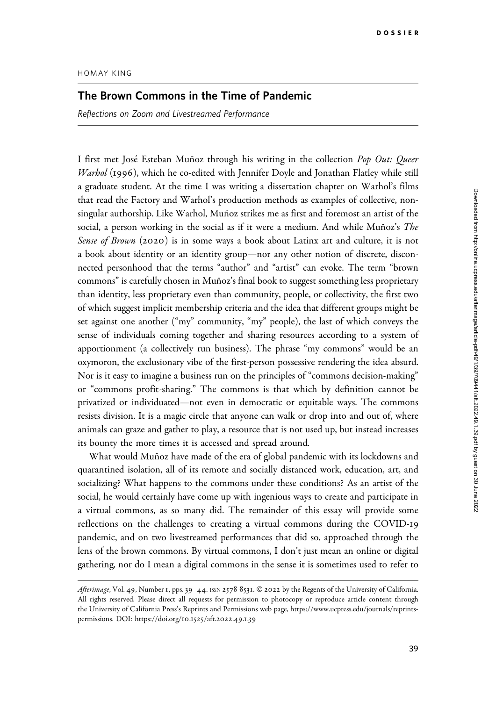## Downloaded from http://online.ucpress.edu/afterimage/article-pdf49/1/39/709441/aft.2022.49.1.39.pdf by guest on 30 June 2022 Downloaded from http://online.ucpress.edu/afterimage/article-pdf/49/1/39/709441/aft.2022.49.1.39.pdf by guest on 30 June 2022

## HOMAY KING

## The Brown Commons in the Time of Pandemic

Reflections on Zoom and Livestreamed Performance

I first met José Esteban Muñoz through his writing in the collection Pop Out: Queer Warhol (1996), which he co-edited with Jennifer Doyle and Jonathan Flatley while still a graduate student. At the time I was writing a dissertation chapter on Warhol's films that read the Factory and Warhol's production methods as examples of collective, nonsingular authorship. Like Warhol, Muñoz strikes me as first and foremost an artist of the social, a person working in the social as if it were a medium. And while Muñoz's The Sense of Brown (2020) is in some ways a book about Latinx art and culture, it is not a book about identity or an identity group—nor any other notion of discrete, disconnected personhood that the terms "author" and "artist" can evoke. The term "brown commons" is carefully chosen in Muñoz's final book to suggest something less proprietary than identity, less proprietary even than community, people, or collectivity, the first two of which suggest implicit membership criteria and the idea that different groups might be set against one another ("my" community, "my" people), the last of which conveys the sense of individuals coming together and sharing resources according to a system of apportionment (a collectively run business). The phrase "my commons" would be an oxymoron, the exclusionary vibe of the first-person possessive rendering the idea absurd. Nor is it easy to imagine a business run on the principles of "commons decision-making" or "commons profit-sharing." The commons is that which by definition cannot be privatized or individuated—not even in democratic or equitable ways. The commons resists division. It is a magic circle that anyone can walk or drop into and out of, where animals can graze and gather to play, a resource that is not used up, but instead increases its bounty the more times it is accessed and spread around.

What would Muñoz have made of the era of global pandemic with its lockdowns and quarantined isolation, all of its remote and socially distanced work, education, art, and socializing? What happens to the commons under these conditions? As an artist of the social, he would certainly have come up with ingenious ways to create and participate in a virtual commons, as so many did. The remainder of this essay will provide some reflections on the challenges to creating a virtual commons during the COVID-19 pandemic, and on two livestreamed performances that did so, approached through the lens of the brown commons. By virtual commons, I don't just mean an online or digital gathering, nor do I mean a digital commons in the sense it is sometimes used to refer to

Afterimage, Vol. 49, Number 1, pps. 39-44. ISSN 2578-8531. © 2022 by the Regents of the University of California. All rights reserved. Please direct all requests for permission to photocopy or reproduce article content through the University of California Press's Reprints and Permissions web page, [https://www.ucpress.edu/journals/reprints](https://www.ucpress.edu/journals/reprints-permissions)[permissions.](https://www.ucpress.edu/journals/reprints-permissions) [DOI: https://doi.org/](https://doi.org/10.1525/aft.2022.49.1.39)10.1525/aft.2022.49.1.39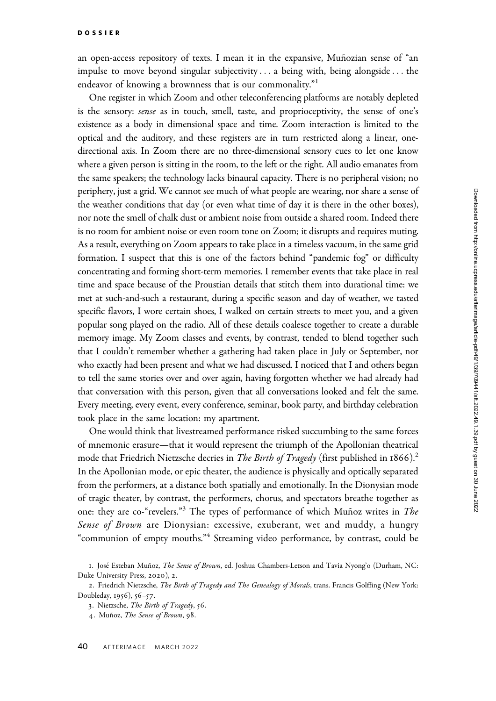an open-access repository of texts. I mean it in the expansive, Muñozian sense of "an impulse to move beyond singular subjectivity ... a being with, being alongside... the endeavor of knowing a brownness that is our commonality."<sup>1</sup>

One register in which Zoom and other teleconferencing platforms are notably depleted is the sensory: *sense* as in touch, smell, taste, and proprioceptivity, the sense of one's existence as a body in dimensional space and time. Zoom interaction is limited to the optical and the auditory, and these registers are in turn restricted along a linear, onedirectional axis. In Zoom there are no three-dimensional sensory cues to let one know where a given person is sitting in the room, to the left or the right. All audio emanates from the same speakers; the technology lacks binaural capacity. There is no peripheral vision; no periphery, just a grid. We cannot see much of what people are wearing, nor share a sense of the weather conditions that day (or even what time of day it is there in the other boxes), nor note the smell of chalk dust or ambient noise from outside a shared room. Indeed there is no room for ambient noise or even room tone on Zoom; it disrupts and requires muting. As a result, everything on Zoom appears to take place in a timeless vacuum, in the same grid formation. I suspect that this is one of the factors behind "pandemic fog" or difficulty concentrating and forming short-term memories. I remember events that take place in real time and space because of the Proustian details that stitch them into durational time: we met at such-and-such a restaurant, during a specific season and day of weather, we tasted specific flavors, I wore certain shoes, I walked on certain streets to meet you, and a given popular song played on the radio. All of these details coalesce together to create a durable memory image. My Zoom classes and events, by contrast, tended to blend together such that I couldn't remember whether a gathering had taken place in July or September, nor who exactly had been present and what we had discussed. I noticed that I and others began to tell the same stories over and over again, having forgotten whether we had already had that conversation with this person, given that all conversations looked and felt the same. Every meeting, every event, every conference, seminar, book party, and birthday celebration took place in the same location: my apartment.

One would think that livestreamed performance risked succumbing to the same forces of mnemonic erasure—that it would represent the triumph of the Apollonian theatrical mode that Friedrich Nietzsche decries in *The Birth of Tragedy* (first published in  $1866$ ).<sup>2</sup> In the Apollonian mode, or epic theater, the audience is physically and optically separated from the performers, at a distance both spatially and emotionally. In the Dionysian mode of tragic theater, by contrast, the performers, chorus, and spectators breathe together as one: they are co-"revelers."<sup>3</sup> The types of performance of which Muñoz writes in The Sense of Brown are Dionysian: excessive, exuberant, wet and muddy, a hungry "communion of empty mouths."<sup>4</sup> Streaming video performance, by contrast, could be

<sup>1.</sup> José Esteban Muñoz, The Sense of Brown, ed. Joshua Chambers-Letson and Tavia Nyong'o (Durham, NC: Duke University Press, 2020), 2.

<sup>2.</sup> Friedrich Nietzsche, The Birth of Tragedy and The Genealogy of Morals, trans. Francis Golffing (New York: Doubleday, 1956), 56–57.

<sup>3</sup>. Nietzsche, The Birth of Tragedy, 56.

<sup>4.</sup> Muñoz, The Sense of Brown, 98.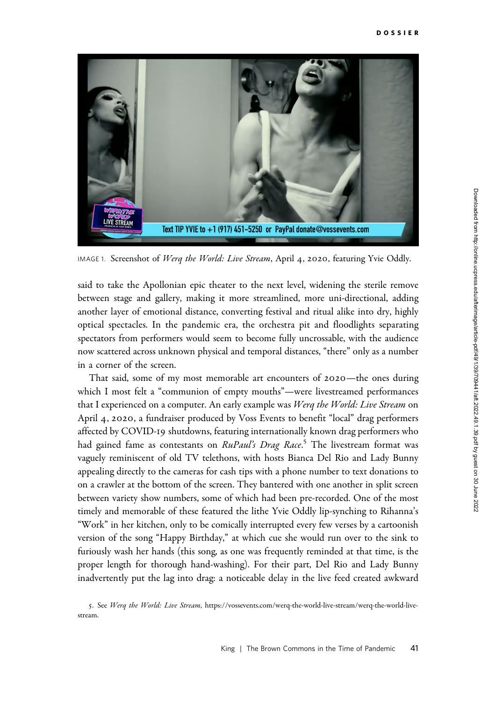

IMAGE 1. Screenshot of Werq the World: Live Stream, April 4, 2020, featuring Yvie Oddly.

said to take the Apollonian epic theater to the next level, widening the sterile remove between stage and gallery, making it more streamlined, more uni-directional, adding another layer of emotional distance, converting festival and ritual alike into dry, highly optical spectacles. In the pandemic era, the orchestra pit and floodlights separating spectators from performers would seem to become fully uncrossable, with the audience now scattered across unknown physical and temporal distances, "there" only as a number in a corner of the screen.

That said, some of my most memorable art encounters of 2020—the ones during which I most felt a "communion of empty mouths"—were livestreamed performances that I experienced on a computer. An early example was Werq the World: Live Stream on April 4, 2020, a fundraiser produced by Voss Events to benefit "local" drag performers affected by COVID-19 shutdowns, featuring internationally known drag performers who had gained fame as contestants on *RuPaul's Drag Race.<sup>5</sup>* The livestream format was vaguely reminiscent of old TV telethons, with hosts Bianca Del Rio and Lady Bunny appealing directly to the cameras for cash tips with a phone number to text donations to on a crawler at the bottom of the screen. They bantered with one another in split screen between variety show numbers, some of which had been pre-recorded. One of the most timely and memorable of these featured the lithe Yvie Oddly lip-synching to Rihanna's "Work" in her kitchen, only to be comically interrupted every few verses by a cartoonish version of the song "Happy Birthday," at which cue she would run over to the sink to furiously wash her hands (this song, as one was frequently reminded at that time, is the proper length for thorough hand-washing). For their part, Del Rio and Lady Bunny inadvertently put the lag into drag: a noticeable delay in the live feed created awkward

5. See Werq the World: Live Stream, [https://vossevents.com/werq-the-world-live-stream/werq-the-world-live](https://vossevents.com/werq-the-world-live-stream/werq-the-world-live-stream)[stream](https://vossevents.com/werq-the-world-live-stream/werq-the-world-live-stream).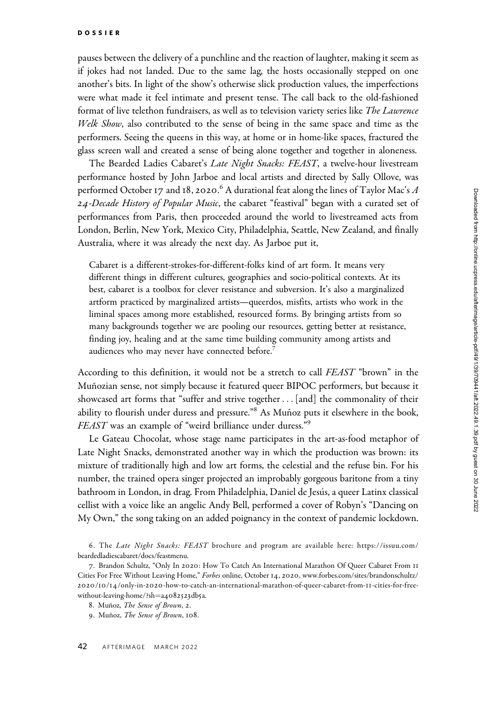pauses between the delivery of a punchline and the reaction of laughter, making it seem as if jokes had not landed. Due to the same lag, the hosts occasionally stepped on one another's bits. In light of the show's otherwise slick production values, the imperfections were what made it feel intimate and present tense. The call back to the old-fashioned format of live telethon fundraisers, as well as to television variety series like The Lawrence Welk Show, also contributed to the sense of being in the same space and time as the performers. Seeing the queens in this way, at home or in home-like spaces, fractured the glass screen wall and created a sense of being alone together and together in aloneness.

The Bearded Ladies Cabaret's Late Night Snacks: FEAST, a twelve-hour livestream performance hosted by John Jarboe and local artists and directed by Sally Ollove, was performed October 17 and 18, 2020. $^6$  A durational feat along the lines of Taylor Mac's  $A$ 24-Decade History of Popular Music, the cabaret "feastival" began with a curated set of performances from Paris, then proceeded around the world to livestreamed acts from London, Berlin, New York, Mexico City, Philadelphia, Seattle, New Zealand, and finally Australia, where it was already the next day. As Jarboe put it,

Cabaret is a different-strokes-for-different-folks kind of art form. It means very different things in different cultures, geographies and socio-political contexts. At its best, cabaret is a toolbox for clever resistance and subversion. It's also a marginalized artform practiced by marginalized artists—queerdos, misfits, artists who work in the liminal spaces among more established, resourced forms. By bringing artists from so many backgrounds together we are pooling our resources, getting better at resistance, finding joy, healing and at the same time building community among artists and audiences who may never have connected before.<sup>7</sup>

According to this definition, it would not be a stretch to call FEAST "brown" in the Muñozian sense, not simply because it featured queer BIPOC performers, but because it showcased art forms that "suffer and strive together ... [and] the commonality of their ability to flourish under duress and pressure."<sup>8</sup> As Muñoz puts it elsewhere in the book, FEAST was an example of "weird brilliance under duress."<sup>9</sup>

Le Gateau Chocolat, whose stage name participates in the art-as-food metaphor of Late Night Snacks, demonstrated another way in which the production was brown: its mixture of traditionally high and low art forms, the celestial and the refuse bin. For his number, the trained opera singer projected an improbably gorgeous baritone from a tiny bathroom in London, in drag. From Philadelphia, Daniel de Jesús, a queer Latinx classical cellist with a voice like an angelic Andy Bell, performed a cover of Robyn's "Dancing on My Own," the song taking on an added poignancy in the context of pandemic lockdown.

<sup>6.</sup> The Late Night Snacks: FEAST brochure and program are available here: [https://issuu.com/](https://issuu.com/beardedladiescabaret/docs/feastmenu) [beardedladiescabaret/docs/feastmenu.](https://issuu.com/beardedladiescabaret/docs/feastmenu)

<sup>7</sup>. Brandon Schultz, "Only In 2020: How To Catch An International Marathon Of Queer Cabaret From 11 Cities For Free Without Leaving Home," Forbes online, October 14, 2020, [www.forbes.com/sites/brandonschultz/](www.forbes.com/sites/brandonschultz/2020/10/14/only-in-2020-how-to-catch-an-international-marathon-of-queer-cabaret-from-11-cities-for-free-without-leaving-home/?sh=a4082523db5a) 2020/10/14/only-in-2020[-how-to-catch-an-international-marathon-of-queer-cabaret-from-](www.forbes.com/sites/brandonschultz/2020/10/14/only-in-2020-how-to-catch-an-international-marathon-of-queer-cabaret-from-11-cities-for-free-without-leaving-home/?sh=a4082523db5a)11-cities-for-free[without-leaving-home/?sh](www.forbes.com/sites/brandonschultz/2020/10/14/only-in-2020-how-to-catch-an-international-marathon-of-queer-cabaret-from-11-cities-for-free-without-leaving-home/?sh=a4082523db5a)=a[4082523](www.forbes.com/sites/brandonschultz/2020/10/14/only-in-2020-how-to-catch-an-international-marathon-of-queer-cabaret-from-11-cities-for-free-without-leaving-home/?sh=a4082523db5a)db5a.

<sup>8.</sup> Muñoz, The Sense of Brown, 2.

<sup>9.</sup> Muñoz, The Sense of Brown, 108.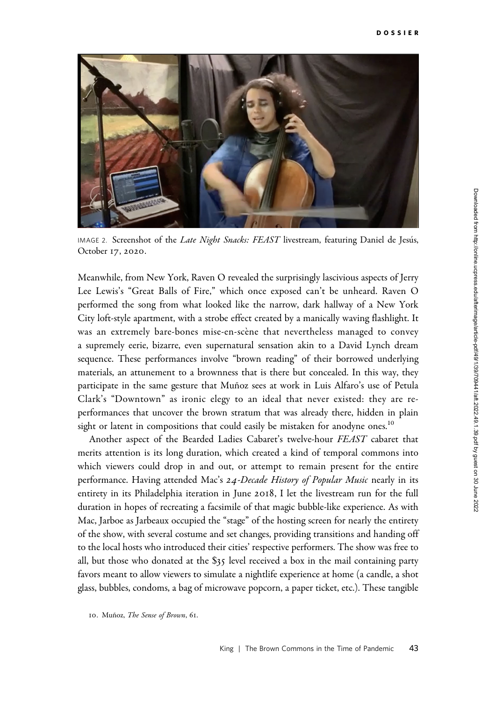

IMAGE 2. Screenshot of the Late Night Snacks: FEAST livestream, featuring Daniel de Jesús, October 17, 2020.

Meanwhile, from New York, Raven O revealed the surprisingly lascivious aspects of Jerry Lee Lewis's "Great Balls of Fire," which once exposed can't be unheard. Raven O performed the song from what looked like the narrow, dark hallway of a New York City loft-style apartment, with a strobe effect created by a manically waving flashlight. It was an extremely bare-bones mise-en-scène that nevertheless managed to convey a supremely eerie, bizarre, even supernatural sensation akin to a David Lynch dream sequence. These performances involve "brown reading" of their borrowed underlying materials, an attunement to a brownness that is there but concealed. In this way, they participate in the same gesture that Muñoz sees at work in Luis Alfaro's use of Petula Clark's "Downtown" as ironic elegy to an ideal that never existed: they are reperformances that uncover the brown stratum that was already there, hidden in plain sight or latent in compositions that could easily be mistaken for anodyne ones.<sup>10</sup>

Another aspect of the Bearded Ladies Cabaret's twelve-hour FEAST cabaret that merits attention is its long duration, which created a kind of temporal commons into which viewers could drop in and out, or attempt to remain present for the entire performance. Having attended Mac's 24-Decade History of Popular Music nearly in its entirety in its Philadelphia iteration in June 2018, I let the livestream run for the full duration in hopes of recreating a facsimile of that magic bubble-like experience. As with Mac, Jarboe as Jarbeaux occupied the "stage" of the hosting screen for nearly the entirety of the show, with several costume and set changes, providing transitions and handing off to the local hosts who introduced their cities' respective performers. The show was free to all, but those who donated at the \$35 level received a box in the mail containing party favors meant to allow viewers to simulate a nightlife experience at home (a candle, a shot glass, bubbles, condoms, a bag of microwave popcorn, a paper ticket, etc.). These tangible

<sup>10.</sup> Muñoz, The Sense of Brown, 61.